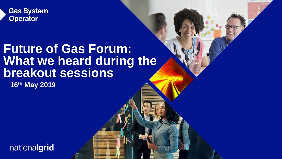

# **Future of Gas Forum: What we heard during the breakout sessions**

**16th May 2019**

nationalgrid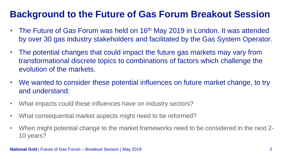# **Background to the Future of Gas Forum Breakout Session**

- The Future of Gas Forum was held on 16<sup>th</sup> May 2019 in London. It was attended by over 30 gas industry stakeholders and facilitated by the Gas System Operator.
- The potential changes that could impact the future gas markets may vary from transformational discrete topics to combinations of factors which challenge the evolution of the markets.
- We wanted to consider these potential influences on future market change, to try and understand:
- What impacts could these influences have on industry sectors?
- What consequential market aspects might need to be reformed?
- When might potential change to the market frameworks need to be considered in the next 2- 10 years?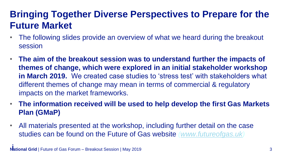# **Bringing Together Diverse Perspectives to Prepare for the Future Market**

- The following slides provide an overview of what we heard during the breakout session
- **The aim of the breakout session was to understand further the impacts of themes of change, which were explored in an initial stakeholder workshop in March 2019.** We created case studies to 'stress test' with stakeholders what different themes of change may mean in terms of commercial & regulatory impacts on the market frameworks.
- **The information received will be used to help develop the first Gas Markets Plan (GMaP)**
- All materials presented at the workshop, including further detail on the case studies can be found on the Future of Gas website *([www.futureofgas.uk\)](http://www.futureofgas.uk/)*

**i**<br> **National Grid** | Future of Gas Forum – Breakout Session | May 2019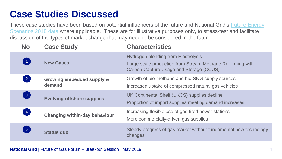# **Case Studies Discussed**

These case studies have been based on potential influencers of the future and National Grid's Future Energy Scenarios 2018 data where applicable. These are for illustrative purposes only, to stress-test and facilitate discussion of the types of market change that may need to be considered in the future.

| <b>No</b>                         | <b>Case Study</b>                              | <b>Characteristics</b>                                                                                                                                    |
|-----------------------------------|------------------------------------------------|-----------------------------------------------------------------------------------------------------------------------------------------------------------|
| $\vert$ 1                         | <b>New Gases</b>                               | <b>Hydrogen blending from Electrolysis</b><br>Large scale production from Stream Methane Reforming with<br><b>Carbon Capture Usage and Storage (CCUS)</b> |
| $\begin{bmatrix} 2 \end{bmatrix}$ | <b>Growing embedded supply &amp;</b><br>demand | Growth of bio-methane and bio-SNG supply sources<br>Increased uptake of compressed natural gas vehicles                                                   |
| 3                                 | <b>Evolving offshore supplies</b>              | UK Continental Shelf (UKCS) supplies decline<br>Proportion of import supplies meeting demand increases                                                    |
| $\boxed{4}$                       | <b>Changing within-day behaviour</b>           | Increasing flexible use of gas-fired power stations<br>More commercially-driven gas supplies                                                              |
| $\boxed{5}$                       | <b>Status quo</b>                              | Steady progress of gas market without fundamental new technology<br>changes                                                                               |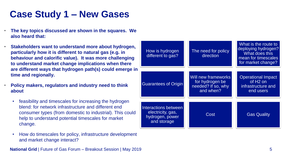# **Case Study 1 – New Gases**

- **The key topics discussed are shown in the squares. We also heard that:**
- **Stakeholders want to understand more about hydrogen, particularly how it is different to natural gas (e.g. in behaviour and calorific value). It was more challenging to understand market change implications when there are different ways that hydrogen path(s) could emerge in time and regionally.**
- **Policy makers, regulators and industry need to think about**
	- feasibility and timescales for increasing the hydrogen blend: for network infrastructure and different end consumer types (from domestic to industrial). This could help to understand potential timescales for market change.
	- How do timescales for policy, infrastructure development and market change interact?

**National Grid** | Future of Gas Forum – Breakout Session | May 2019 **The Struck Contract of Contract Contract Contract Contract Contract Contract Contract Contract Contract Contract Contract Contract Contract Contract Cont** 

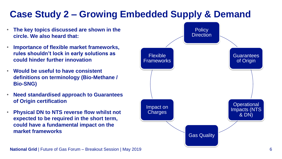### **Case Study 2 – Growing Embedded Supply & Demand Policy Direction** Guarantees of Origin **Operational** Impacts (NTS & DN) Gas Quality Impact on **Charges** Flexible Frameworks • **The key topics discussed are shown in the circle. We also heard that:** • **Importance of flexible market frameworks, rules shouldn't lock in early solutions as could hinder further innovation** • **Would be useful to have consistent definitions on terminology (Bio-Methane / Bio-SNG)**  • **Need standardised approach to Guarantees of Origin certification** • **Physical DN to NTS reverse flow whilst not expected to be required in the short term, could have a fundamental impact on the market frameworks**

**National Grid** | Future of Gas Forum – Breakout Session | May 2019 **Case 19 and 19 and 19 and 19 and 19 and 19 and 19 and 19 and 19 and 19 and 19 and 19 and 19 and 19 and 19 and 19 and 19 and 19 and 19 and 19 and 19 and 1**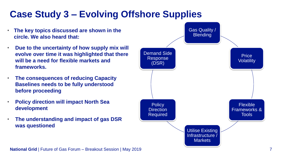#### • **The key topics discussed are shown in the circle. We also heard that:** • **Due to the uncertainty of how supply mix will evolve over time it was highlighted that there will be a need for flexible markets and frameworks.**  • **The consequences of reducing Capacity Baselines needs to be fully understood before proceeding**  • **Policy direction will impact North Sea development**  • **The understanding and impact of gas DSR was questioned Case Study 3 – Evolving Offshore Supplies** Gas Quality / **Blending Price Volatility** Flexible Frameworks & Tools Utilise Existing Infrastructure / Markets **Policy Direction** Required Demand Side Response (DSR)

**National Grid | Future of Gas Forum – Breakout Session | May 2019**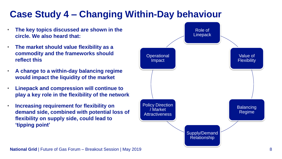# **Case Study 4 – Changing Within-Day behaviour**

- **The key topics discussed are shown in the circle. We also heard that:**
- **The market should value flexibility as a commodity and the frameworks should reflect this**
- **A change to a within-day balancing regime would impact the liquidity of the market**
- **Linepack and compression will continue to play a key role in the flexibility of the network**
- **Increasing requirement for flexibility on demand side, combined with potential loss of flexibility on supply side, could lead to 'tipping point'**

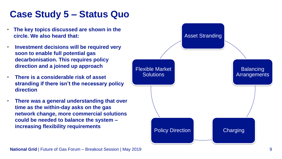# **Case Study 5 – Status Quo**

- **The key topics discussed are shown in the circle. We also heard that:**
- **Investment decisions will be required very soon to enable full potential gas decarbonisation. This requires policy direction and a joined up approach**
- **There is a considerable risk of asset stranding if there isn't the necessary policy direction**
- **There was a general understanding that over time as the within-day asks on the gas network change, more commercial solutions could be needed to balance the system – increasing flexibility requirements**

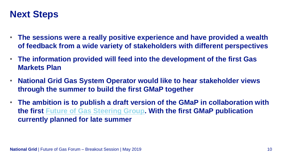# **Next Steps**

- **The sessions were a really positive experience and have provided a wealth of feedback from a wide variety of stakeholders with different perspectives**
- **The information provided will feed into the development of the first Gas Markets Plan**
- **National Grid Gas System Operator would like to hear stakeholder views through the summer to build the first GMaP together**
- **The ambition is to publish a draft version of the GMaP in collaboration with the first [Future of Gas Steering Group.](https://futureofgas.uk/) With the first GMaP publication currently planned for late summer**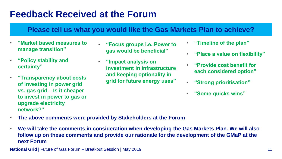# **Feedback Received at the Forum**

### **Please tell us what you would like the Gas Markets Plan to achieve?**

- **"Market based measures to manage transition"**
- **"Policy stability and certainty"**
- **"Transparency about costs of investing in power grid vs. gas grid – Is it cheaper to invest in power to gas or upgrade electricity network?"**
- **"Focus groups i.e. Power to gas would be beneficial"**
- **"Impact analysis on investment in infrastructure and keeping optionality in grid for future energy uses"**
- **"Timeline of the plan"**
- **"Place a value on flexibility"**
- **"Provide cost benefit for each considered option"**
- **"Strong prioritisation"**
- **"Some quicks wins"**

- **The above comments were provided by Stakeholders at the Forum**
- **We will take the comments in consideration when developing the Gas Markets Plan. We will also follow up on these comments and provide our rationale for the development of the GMaP at the next Forum**

**National Grid** | Future of Gas Forum – Breakout Session | May 2019 **11 | Annual Struck Contract Contract Contract Contract Contract Contract Contract Contract Contract Contract Contract Contract Contract Contract Contract**